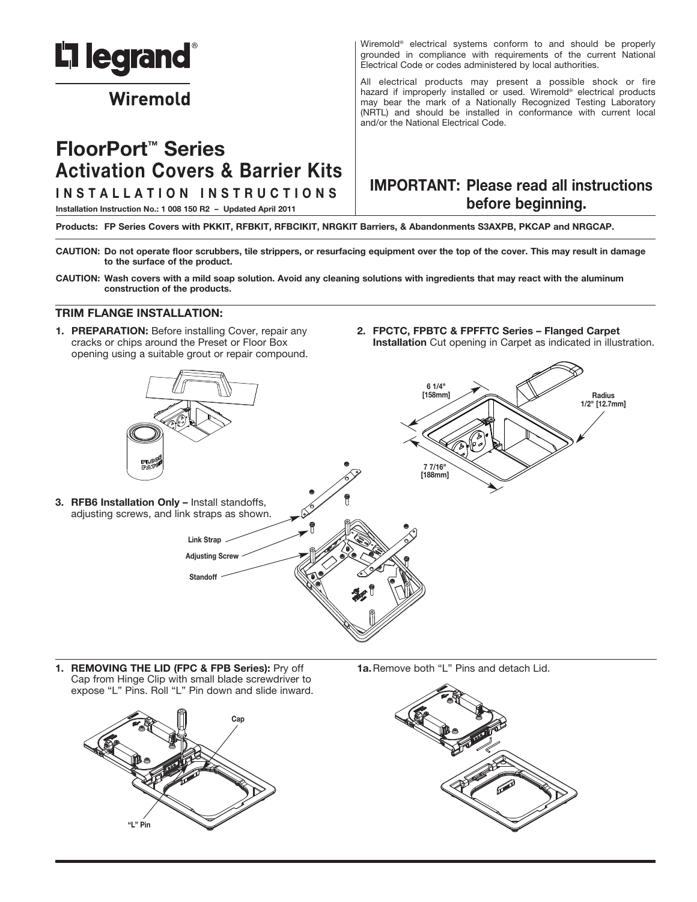

# Wiremold

# **FloorPort ™ Series Activation Covers & Barrier Kits**

**I N S T A L L A T I O N I N S T R U C T I O N S**

Wiremold® electrical systems conform to and should be properly grounded in compliance with requirements of the current National Electrical Code or codes administered by local authorities.

All electrical products may present a possible shock or fire hazard if improperly installed or used. Wiremold® electrical products may bear the mark of a Nationally Recognized Testing Laboratory (NRTL) and should be installed in conformance with current local and/or the National Electrical Code.

# **IMPORTANT: Please read all instructions before beginning.**

**Installation Instruction No.: 1 008 150 R2 – Updated April 2011**

Products: FP Series Covers with PKKIT, RFBKIT, RFBCIKIT, NRGKIT Barriers, & Abandonments S3AXPB, PKCAP and NRGCAP.

- CAUTION: Do not operate floor scrubbers, tile strippers, or resurfacing equipment over the top of the cover. This may result in damage **to the surface of the product.**
- CAUTION: Wash covers with a mild soap solution. Avoid any cleaning solutions with ingredients that may react with the aluminum **construction of the products.**

#### **TRIM FLANGE INSTALLATION:**

- **1. PREPARATION:** Before installing Cover, repair any cracks or chips around the Preset or Floor Box opening using a suitable grout or repair compound.
- **2. FPCTC, FPBTC & FPFFTC Series – Flanged Carpet Installation** Cut opening in Carpet as indicated in illustration.



**1. REMOVING THE LID (FPC & FPB Series):** Pry off Cap from Hinge Clip with small blade screwdriver to expose "L" Pins. Roll "L" Pin down and slide inward.



**1a.**Remove both "L" Pins and detach Lid.

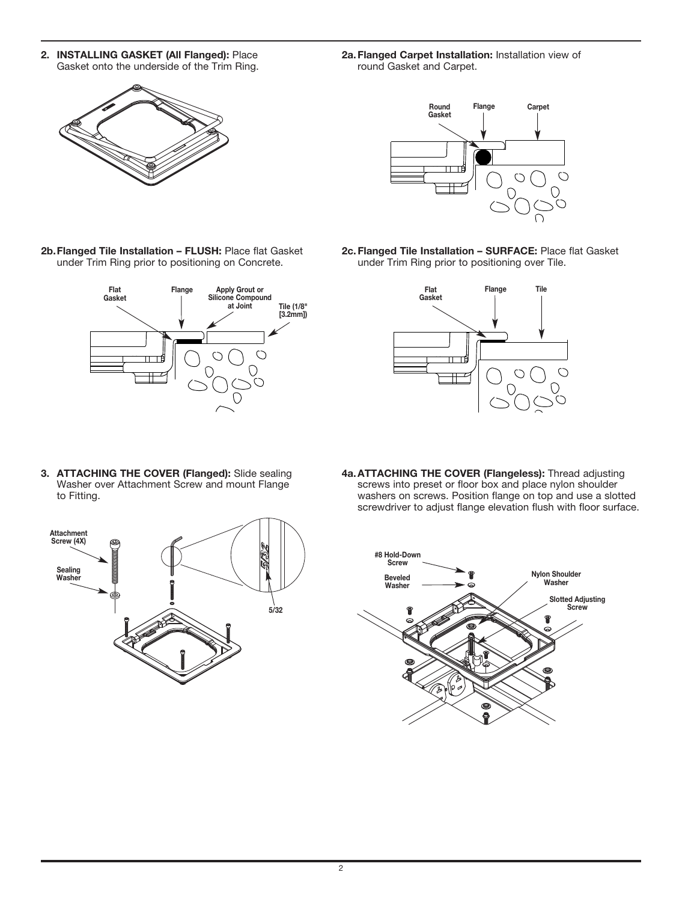- **2. INSTALLING GASKET (All Flanged):** Place Gasket onto the underside of the Trim Ring.
- **2a.Flanged Carpet Installation:** Installation view of round Gasket and Carpet.



- **Round Flange Carpet Gasket**  $\bigcirc$  $\bigcirc$  $\bigcirc$
- **2b.Flanged Tile Installation – FLUSH:** Place flat Gasket under Trim Ring prior to positioning on Concrete.



**2c.Flanged Tile Installation – SURFACE:** Place flat Gasket under Trim Ring prior to positioning over Tile.



**3. ATTACHING THE COVER (Flanged):** Slide sealing Washer over Attachment Screw and mount Flange to Fitting.



**4a.ATTACHING THE COVER (Flangeless):** Thread adjusting screws into preset or floor box and place nylon shoulder washers on screws. Position flange on top and use a slotted screwdriver to adjust flange elevation flush with floor surface.

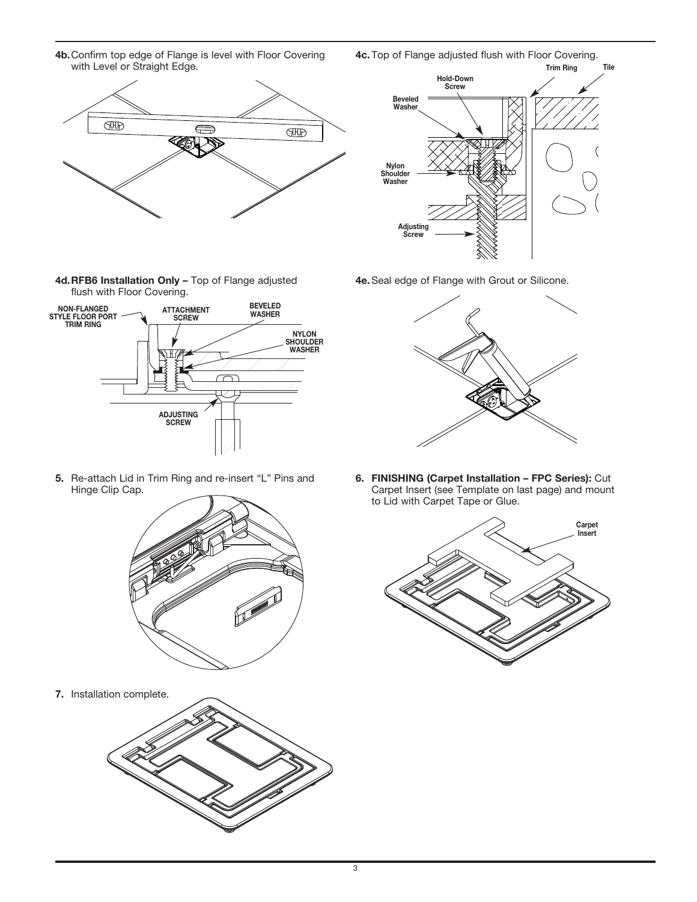**4b.**Confirm top edge of Flange is level with Floor Covering **4c.**Top of Flange adjusted flush with Floor Covering. with Level or Straight Edge.

**FID**  $\Longleftrightarrow$ **FUD** 

**4d.RFB6 Installation Only –** Top of Flange adjusted flush with Floor Covering.



**5.** Re-attach Lid in Trim Ring and re-insert "L" Pins and Hinge Clip Cap.



**7.** Installation complete.





**4e.**Seal edge of Flange with Grout or Silicone.



**6. FINISHING (Carpet Installation – FPC Series):** Cut Carpet Insert (see Template on last page) and mount to Lid with Carpet Tape or Glue.

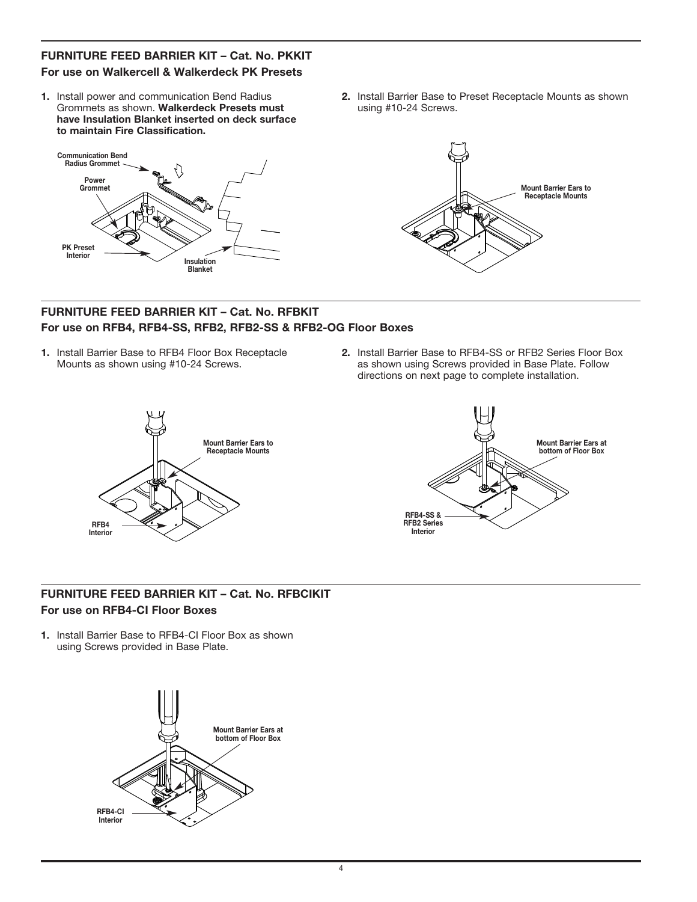# **FURNITURE FEED BARRIER KIT – Cat. No. PKKIT For use on Walkercell & Walkerdeck PK Presets**

**1.** Install power and communication Bend Radius Grommets as shown. **Walkerdeck Presets must have Insulation Blanket inserted on deck surface to maintain Fire Classification.**



**2.** Install Barrier Base to Preset Receptacle Mounts as shown using #10-24 Screws.



#### **FURNITURE FEED BARRIER KIT – Cat. No. RFBKIT For use on RFB4, RFB4-SS, RFB2, RFB2-SS & RFB2-OG Floor Boxes**

- **1.** Install Barrier Base to RFB4 Floor Box Receptacle Mounts as shown using #10-24 Screws.
- **2.** Install Barrier Base to RFB4-SS or RFB2 Series Floor Box as shown using Screws provided in Base Plate. Follow directions on next page to complete installation.





# **FURNITURE FEED BARRIER KIT – Cat. No. RFBCIKIT For use on RFB4-CI Floor Boxes**

**1.** Install Barrier Base to RFB4-CI Floor Box as shown using Screws provided in Base Plate.

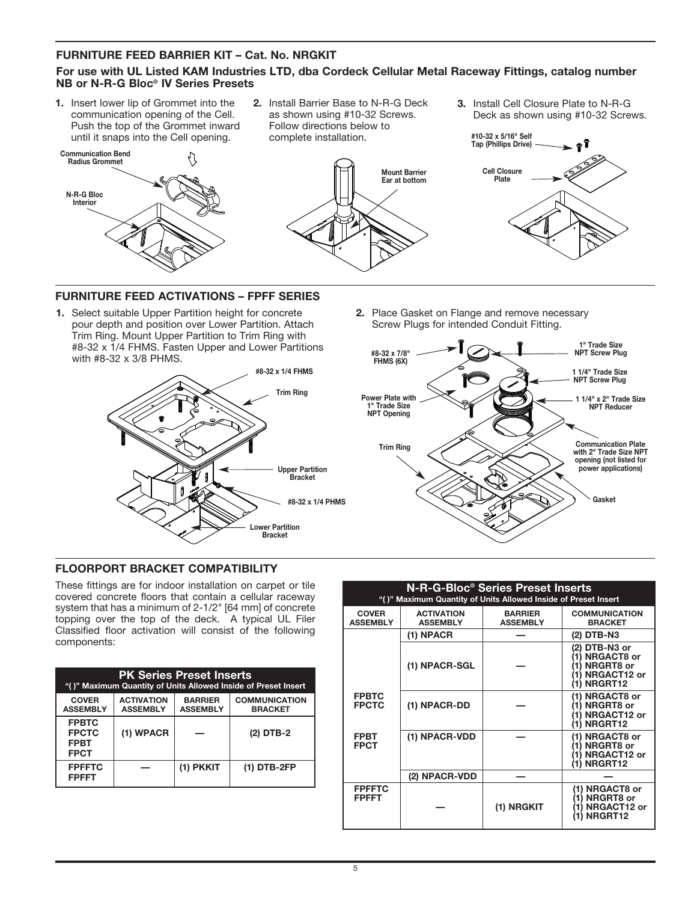### **FURNITURE FEED BARRIER KIT – Cat. No. NRGKIT**

### **For use with UL Listed KAM Industries LTD, dba Cordeck Cellular Metal Raceway Fittings, catalog number NB or N-R-G Bloc® IV Series Presets**

**1.** Insert lower lip of Grommet into the communication opening of the Cell. Push the top of the Grommet inward until it snaps into the Cell opening.



**2.** Install Barrier Base to N-R-G Deck as shown using #10-32 Screws. Follow directions below to complete installation.



**3.** Install Cell Closure Plate to N-R-G Deck as shown using #10-32 Screws.



#### **FURNITURE FEED ACTIVATIONS – FPFF SERIES**

**1.** Select suitable Upper Partition height for concrete pour depth and position over Lower Partition. Attach Trim Ring. Mount Upper Partition to Trim Ring with #8-32 x 1/4 FHMS. Fasten Upper and Lower Partitions with #8-32 x 3/8 PHMS.



**2.** Place Gasket on Flange and remove necessary Screw Plugs for intended Conduit Fitting.



### **FLOORPORT BRACKET COMPATIBILITY**

These fittings are for indoor installation on carpet or tile covered concrete floors that contain a cellular raceway system that has a minimum of 2-1/2" [64 mm] of concrete topping over the top of the deck. A typical UL Filer Classified floor activation will consist of the following components:

| <b>PK Series Preset Inserts</b><br>"()" Maximum Quantity of Units Allowed Inside of Preset Insert |                                      |                                   |                                        |  |  |  |
|---------------------------------------------------------------------------------------------------|--------------------------------------|-----------------------------------|----------------------------------------|--|--|--|
| <b>COVER</b><br><b>ASSEMBLY</b>                                                                   | <b>ACTIVATION</b><br><b>ASSEMBLY</b> | <b>BARRIER</b><br><b>ASSEMBLY</b> | <b>COMMUNICATION</b><br><b>BRACKET</b> |  |  |  |
| <b>FPBTC</b><br><b>FPCTC</b><br><b>FPBT</b><br><b>FPCT</b>                                        | (1) WPACR                            |                                   | $(2)$ DTB-2                            |  |  |  |
| <b>FPFFTC</b><br><b>FPFFT</b>                                                                     |                                      | (1) PKKIT                         | $(1)$ DTB-2FP                          |  |  |  |

| <b>N-R-G-Bloc<sup>®</sup> Series Preset Inserts</b><br>"()" Maximum Quantity of Units Allowed Inside of Preset Insert |                                      |                                   |                                                                                    |  |  |  |
|-----------------------------------------------------------------------------------------------------------------------|--------------------------------------|-----------------------------------|------------------------------------------------------------------------------------|--|--|--|
| <b>COVER</b><br><b>ASSEMBLY</b>                                                                                       | <b>ACTIVATION</b><br><b>ASSEMBLY</b> | <b>BARRIER</b><br><b>ASSEMBLY</b> | <b>COMMUNICATION</b><br><b>BRACKET</b>                                             |  |  |  |
|                                                                                                                       | (1) NPACR                            |                                   | (2) DTB-N3                                                                         |  |  |  |
|                                                                                                                       | (1) NPACR-SGL                        |                                   | (2) DTB-N3 or<br>(1) NRGACT8 or<br>(1) NRGRT8 or<br>(1) NRGACT12 or<br>(1) NRGRT12 |  |  |  |
| <b>FPBTC</b><br><b>FPCTC</b>                                                                                          | (1) NPACR-DD                         |                                   | (1) NRGACT8 or<br>(1) NRGRT8 or<br>(1) NRGACT12 or<br>(1) NRGRT12                  |  |  |  |
| <b>FPBT</b><br><b>FPCT</b>                                                                                            | (1) NPACR-VDD                        |                                   | (1) NRGACT8 or<br>(1) NRGRT8 or<br>(1) NRGACT12 or<br>(1) NRGRT12                  |  |  |  |
|                                                                                                                       | (2) NPACR-VDD                        |                                   |                                                                                    |  |  |  |
| <b>FPFFTC</b><br><b>FPFFT</b>                                                                                         |                                      | (1) NRGKIT                        | (1) NRGACT8 or<br>(1) NRGRT8 or<br>(1) NRGACT12 or<br>(1) NRGRT12                  |  |  |  |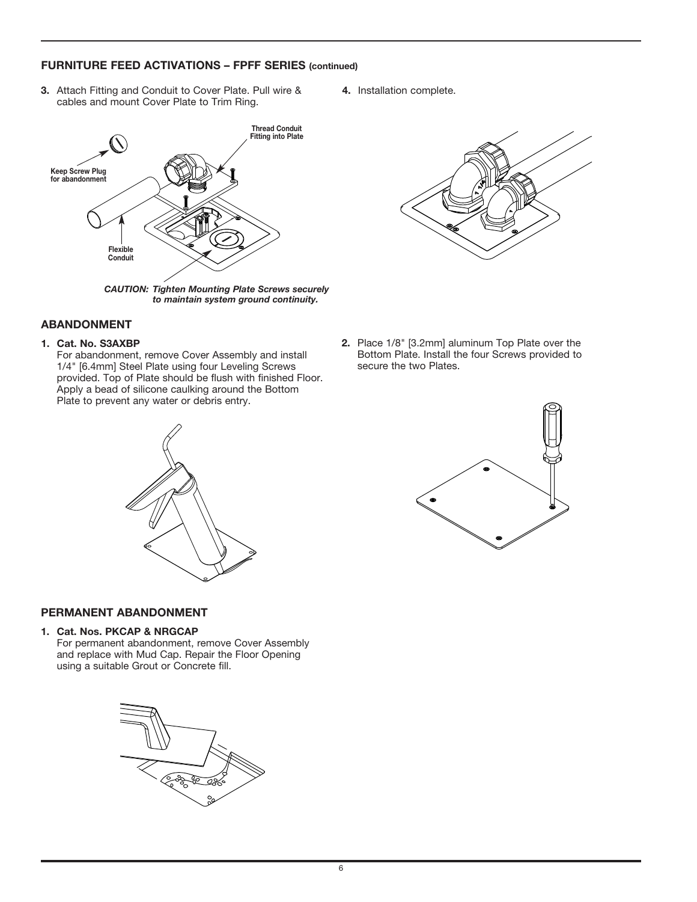#### **FURNITURE FEED ACTIVATIONS – FPFF SERIES (continued)**

- **3.** Attach Fitting and Conduit to Cover Plate. Pull wire & cables and mount Cover Plate to Trim Ring.
	- **Keep Screw Plug for abandonment Flexible Conduit Thread Conduit Fitting into Plate** *CAUTION: Tighten Mounting Plate Screws securely*

*to maintain system ground continuity.*

#### **ABANDONMENT**

#### **1. Cat. No. S3AXBP**

For abandonment, remove Cover Assembly and install 1/4" [6.4mm] Steel Plate using four Leveling Screws provided. Top of Plate should be flush with finished Floor. Apply a bead of silicone caulking around the Bottom Plate to prevent any water or debris entry.





**4.** Installation complete.

**2.** Place 1/8" [3.2mm] aluminum Top Plate over the Bottom Plate. Install the four Screws provided to secure the two Plates.



#### **PERMANENT ABANDONMENT**

#### **1. Cat. Nos. PKCAP & NRGCAP**

For permanent abandonment, remove Cover Assembly and replace with Mud Cap. Repair the Floor Opening using a suitable Grout or Concrete fill.

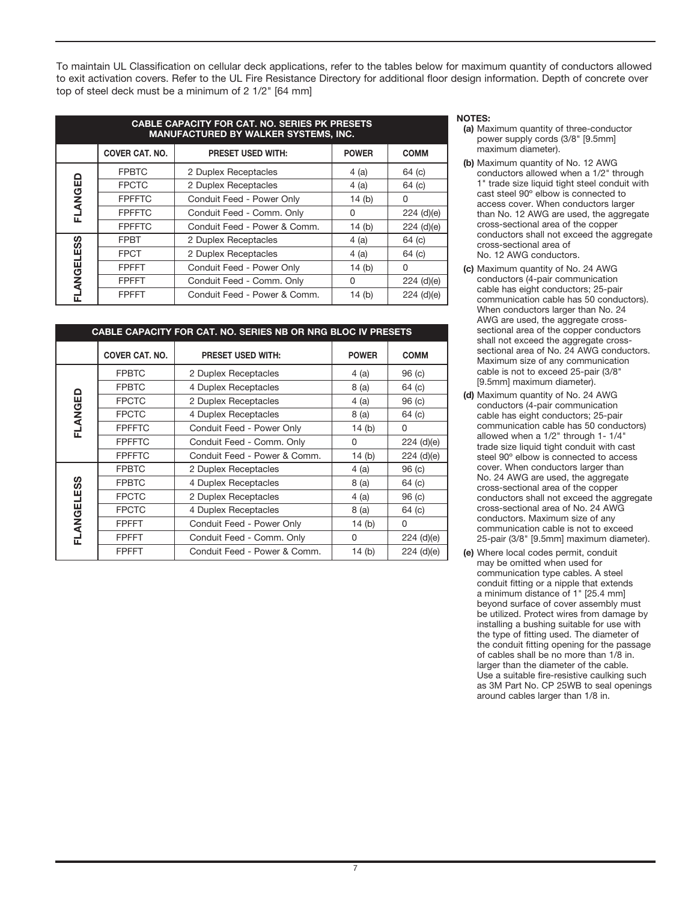To maintain UL Classification on cellular deck applications, refer to the tables below for maximum quantity of conductors allowed to exit activation covers. Refer to the UL Fire Resistance Directory for additional floor design information. Depth of concrete over top of steel deck must be a minimum of 2 1/2" [64 mm]

| <b>CABLE CAPACITY FOR CAT. NO. SERIES PK PRESETS</b><br><b>MANUFACTURED BY WALKER SYSTEMS, INC.</b> |                       |                              |              |              |  |  |
|-----------------------------------------------------------------------------------------------------|-----------------------|------------------------------|--------------|--------------|--|--|
|                                                                                                     | <b>COVER CAT. NO.</b> | <b>PRESET USED WITH:</b>     | <b>POWER</b> | <b>COMM</b>  |  |  |
| FLANGED                                                                                             | <b>FPBTC</b>          | 2 Duplex Receptacles         | 4(a)         | 64 (c)       |  |  |
|                                                                                                     | <b>FPCTC</b>          | 2 Duplex Receptacles         | 4(a)         | 64 (c)       |  |  |
|                                                                                                     | <b>FPFFTC</b>         | Conduit Feed - Power Only    | 14(b)        | 0            |  |  |
|                                                                                                     | <b>FPFFTC</b>         | Conduit Feed - Comm. Only    | $\Omega$     | $224$ (d)(e) |  |  |
|                                                                                                     | <b>FPFFTC</b>         | Conduit Feed - Power & Comm. | 14 $(b)$     | 224 (d)(e)   |  |  |
| <b>FLANGELESS</b>                                                                                   | <b>FPBT</b>           | 2 Duplex Receptacles         | 4(a)         | 64 (c)       |  |  |
|                                                                                                     | <b>FPCT</b>           | 2 Duplex Receptacles         | 4(a)         | 64 (c)       |  |  |
|                                                                                                     | <b>FPFFT</b>          | Conduit Feed - Power Only    | 14 $(b)$     | 0            |  |  |
|                                                                                                     | <b>FPFFT</b>          | Conduit Feed - Comm. Only    | 0            | $224$ (d)(e) |  |  |
|                                                                                                     | <b>FPFFT</b>          | Conduit Feed - Power & Comm. | 14 $(b)$     | $224$ (d)(e) |  |  |

| <b>CABLE CAPACITY FOR CAT. NO. SERIES NB OR NRG BLOC IV PRESETS</b> |                       |                              |              |                   |
|---------------------------------------------------------------------|-----------------------|------------------------------|--------------|-------------------|
|                                                                     | <b>COVER CAT. NO.</b> | <b>PRESET USED WITH:</b>     | <b>POWER</b> | <b>COMM</b>       |
| FLANGED                                                             | <b>FPBTC</b>          | 2 Duplex Receptacles         | 4(a)         | 96 <sub>(c)</sub> |
|                                                                     | <b>FPBTC</b>          | 4 Duplex Receptacles         | 8(a)         | 64 (c)            |
|                                                                     | <b>FPCTC</b>          | 2 Duplex Receptacles         | 4(a)         | 96 (c)            |
|                                                                     | <b>FPCTC</b>          | 4 Duplex Receptacles         | 8 (a)        | 64 (c)            |
|                                                                     | <b>FPFFTC</b>         | Conduit Feed - Power Only    | 14 $(b)$     | 0                 |
|                                                                     | <b>FPFFTC</b>         | Conduit Feed - Comm. Only    | 0            | $224$ (d)(e)      |
|                                                                     | <b>FPFFTC</b>         | Conduit Feed - Power & Comm. | 14(b)        | $224$ (d)(e)      |
| FLANGELESS                                                          | <b>FPBTC</b>          | 2 Duplex Receptacles         | 4(a)         | 96 <sub>(c)</sub> |
|                                                                     | <b>FPBTC</b>          | 4 Duplex Receptacles         | 8(a)         | 64 (c)            |
|                                                                     | <b>FPCTC</b>          | 2 Duplex Receptacles         | 4(a)         | 96 <sub>(c)</sub> |
|                                                                     | <b>FPCTC</b>          | 4 Duplex Receptacles         | 8 (a)        | 64 (c)            |
|                                                                     | <b>FPFFT</b>          | Conduit Feed - Power Only    | 14 $(b)$     | 0                 |
|                                                                     | <b>FPFFT</b>          | Conduit Feed - Comm. Only    | 0            | $224$ (d)(e)      |
|                                                                     | <b>FPFFT</b>          | Conduit Feed - Power & Comm. | 14(b)        | $224$ (d)(e)      |

#### **NOTES:**

- **(a)** Maximum quantity of three-conductor power supply cords (3/8" [9.5mm] maximum diameter).
- **(b)** Maximum quantity of No. 12 AWG conductors allowed when a 1/2" through 1" trade size liquid tight steel conduit with cast steel 90º elbow is connected to access cover. When conductors larger than No. 12 AWG are used, the aggregate cross-sectional area of the copper conductors shall not exceed the aggregate cross-sectional area of No. 12 AWG conductors.
- **(c)** Maximum quantity of No. 24 AWG conductors (4-pair communication cable has eight conductors; 25-pair communication cable has 50 conductors). When conductors larger than No. 24 AWG are used, the aggregate crosssectional area of the copper conductors shall not exceed the aggregate crosssectional area of No. 24 AWG conductors. Maximum size of any communication cable is not to exceed 25-pair (3/8" [9.5mm] maximum diameter).
- **(d)** Maximum quantity of No. 24 AWG conductors (4-pair communication cable has eight conductors; 25-pair communication cable has 50 conductors) allowed when a 1/2" through 1- 1/4" trade size liquid tight conduit with cast steel 90º elbow is connected to access cover. When conductors larger than No. 24 AWG are used, the aggregate cross-sectional area of the copper conductors shall not exceed the aggregate cross-sectional area of No. 24 AWG conductors. Maximum size of any communication cable is not to exceed 25-pair (3/8" [9.5mm] maximum diameter).
- **(e)** Where local codes permit, conduit may be omitted when used for communication type cables. A steel conduit fitting or a nipple that extends a minimum distance of 1" [25.4 mm] beyond surface of cover assembly must be utilized. Protect wires from damage by installing a bushing suitable for use with the type of fitting used. The diameter of the conduit fitting opening for the passage of cables shall be no more than 1/8 in. larger than the diameter of the cable. Use a suitable fire-resistive caulking such as 3M Part No. CP 25WB to seal openings around cables larger than 1/8 in.